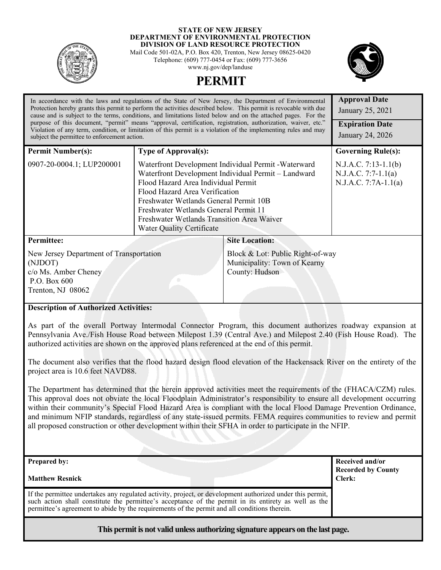

#### **STATE OF NEW JERSEY DEPARTMENT OF ENVIRONMENTAL PROTECTION DIVISION OF LAND RESOURCE PROTECTION**

Mail Code 501-02A, P.O. Box 420, Trenton, New Jersey 08625-0420 Telephone: (609) 777-0454 or Fax: (609) 777-3656 www.nj.gov/dep/landuse





| In accordance with the laws and regulations of the State of New Jersey, the Department of Environmental<br>Protection hereby grants this permit to perform the activities described below. This permit is revocable with due<br>cause and is subject to the terms, conditions, and limitations listed below and on the attached pages. For the<br>purpose of this document, "permit" means "approval, certification, registration, authorization, waiver, etc."<br>Violation of any term, condition, or limitation of this permit is a violation of the implementing rules and may<br>subject the permittee to enforcement action. |                                                                                                                                                                                                                                                                                                                                                                  |                                                                                    | <b>Approval Date</b><br>January 25, 2021<br><b>Expiration Date</b><br>January 24, 2026 |
|------------------------------------------------------------------------------------------------------------------------------------------------------------------------------------------------------------------------------------------------------------------------------------------------------------------------------------------------------------------------------------------------------------------------------------------------------------------------------------------------------------------------------------------------------------------------------------------------------------------------------------|------------------------------------------------------------------------------------------------------------------------------------------------------------------------------------------------------------------------------------------------------------------------------------------------------------------------------------------------------------------|------------------------------------------------------------------------------------|----------------------------------------------------------------------------------------|
| <b>Permit Number(s):</b>                                                                                                                                                                                                                                                                                                                                                                                                                                                                                                                                                                                                           | <b>Type of Approval(s):</b>                                                                                                                                                                                                                                                                                                                                      |                                                                                    | <b>Governing Rule(s):</b>                                                              |
| 0907-20-0004.1; LUP200001                                                                                                                                                                                                                                                                                                                                                                                                                                                                                                                                                                                                          | Waterfront Development Individual Permit - Waterward<br>Waterfront Development Individual Permit - Landward<br>Flood Hazard Area Individual Permit<br>Flood Hazard Area Verification<br>Freshwater Wetlands General Permit 10B<br>Freshwater Wetlands General Permit 11<br><b>Freshwater Wetlands Transition Area Waiver</b><br><b>Water Quality Certificate</b> |                                                                                    | $N.J.A.C. 7:13-1.1(b)$<br>$N.J.A.C. 7:7-1.1(a)$<br>N.J.A.C. 7:7A-1.1(a)                |
| <b>Permittee:</b>                                                                                                                                                                                                                                                                                                                                                                                                                                                                                                                                                                                                                  |                                                                                                                                                                                                                                                                                                                                                                  | <b>Site Location:</b>                                                              |                                                                                        |
| New Jersey Department of Transportation<br>(NJDOT)<br>c/o Ms. Amber Cheney<br>P.O. Box 600<br>Trenton, NJ 08062                                                                                                                                                                                                                                                                                                                                                                                                                                                                                                                    |                                                                                                                                                                                                                                                                                                                                                                  | Block & Lot: Public Right-of-way<br>Municipality: Town of Kearny<br>County: Hudson |                                                                                        |
| <b>Description of Authorized Activities:</b>                                                                                                                                                                                                                                                                                                                                                                                                                                                                                                                                                                                       |                                                                                                                                                                                                                                                                                                                                                                  |                                                                                    |                                                                                        |

As part of the overall Portway Intermodal Connector Program, this document authorizes roadway expansion at Pennsylvania Ave./Fish House Road between Milepost 1.39 (Central Ave.) and Milepost 2.40 (Fish House Road). The authorized activities are shown on the approved plans referenced at the end of this permit.

The document also verifies that the flood hazard design flood elevation of the Hackensack River on the entirety of the project area is 10.6 feet NAVD88.

The Department has determined that the herein approved activities meet the requirements of the (FHACA/CZM) rules. This approval does not obviate the local Floodplain Administrator's responsibility to ensure all development occurring within their community's Special Flood Hazard Area is compliant with the local Flood Damage Prevention Ordinance, and minimum NFIP standards, regardless of any state-issued permits. FEMA requires communities to review and permit all proposed construction or other development within their SFHA in order to participate in the NFIP.

| <b>Prepared by:</b><br><b>Matthew Resnick</b>                                                                                                                                                                                                                                                                     | Received and/or<br><b>Recorded by County</b><br>Clerk: |
|-------------------------------------------------------------------------------------------------------------------------------------------------------------------------------------------------------------------------------------------------------------------------------------------------------------------|--------------------------------------------------------|
| If the permittee undertakes any regulated activity, project, or development authorized under this permit,<br>such action shall constitute the permittee's acceptance of the permit in its entirety as well as the<br>permittee's agreement to abide by the requirements of the permit and all conditions therein. |                                                        |
| This permit is not valid unless authorizing signature appears on the last page.                                                                                                                                                                                                                                   |                                                        |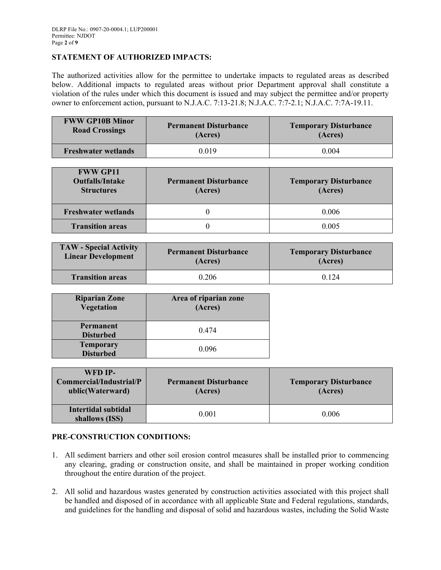## **STATEMENT OF AUTHORIZED IMPACTS:**

The authorized activities allow for the permittee to undertake impacts to regulated areas as described below. Additional impacts to regulated areas without prior Department approval shall constitute a violation of the rules under which this document is issued and may subject the permittee and/or property owner to enforcement action, pursuant to N.J.A.C. 7:13-21.8; N.J.A.C. 7:7-2.1; N.J.A.C. 7:7A-19.11.

| <b>FWW GP10B Minor</b>     | <b>Permanent Disturbance</b> | <b>Temporary Disturbance</b> |
|----------------------------|------------------------------|------------------------------|
| <b>Road Crossings</b>      | (Acres)                      | (Acres)                      |
| <b>Freshwater wetlands</b> | 0 019                        | 0.004                        |

| <b>FWW GP11</b><br><b>Outfalls/Intake</b><br><b>Structures</b> | <b>Permanent Disturbance</b><br>(Acres) | <b>Temporary Disturbance</b><br>(Acres) |
|----------------------------------------------------------------|-----------------------------------------|-----------------------------------------|
| <b>Freshwater wetlands</b>                                     |                                         | 0.006                                   |
| <b>Transition areas</b>                                        |                                         | 0.005                                   |

| <b>TAW - Special Activity</b> | <b>Permanent Disturbance</b> | <b>Temporary Disturbance</b> |
|-------------------------------|------------------------------|------------------------------|
| <b>Linear Development</b>     | (Acres)                      | (Acres)                      |
| <b>Transition areas</b>       | 0.206                        | 0 1 2 4                      |

| <b>Riparian Zone</b><br>Vegetation   | Area of riparian zone<br>(Acres) |
|--------------------------------------|----------------------------------|
| Permanent<br><b>Disturbed</b>        | 0.474                            |
| <b>Temporary</b><br><b>Disturbed</b> | 0.096                            |

| WFD IP-<br>Commercial/Industrial/P<br>ublic(Waterward) | <b>Permanent Disturbance</b><br>(Acres) | <b>Temporary Disturbance</b><br>(Acres) |
|--------------------------------------------------------|-----------------------------------------|-----------------------------------------|
| <b>Intertidal subtidal</b><br>shallows (ISS)           | 0.001                                   | 0.006                                   |

# **PRE-CONSTRUCTION CONDITIONS:**

- 1. All sediment barriers and other soil erosion control measures shall be installed prior to commencing any clearing, grading or construction onsite, and shall be maintained in proper working condition throughout the entire duration of the project.
- 2. All solid and hazardous wastes generated by construction activities associated with this project shall be handled and disposed of in accordance with all applicable State and Federal regulations, standards, and guidelines for the handling and disposal of solid and hazardous wastes, including the Solid Waste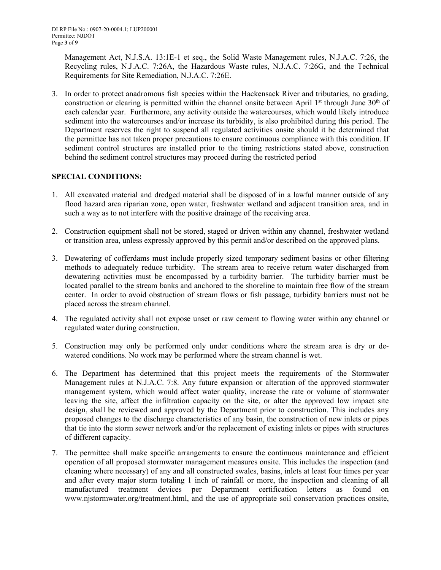Management Act, N.J.S.A. 13:1E-1 et seq., the Solid Waste Management rules, N.J.A.C. 7:26, the Recycling rules, N.J.A.C. 7:26A, the Hazardous Waste rules, N.J.A.C. 7:26G, and the Technical Requirements for Site Remediation, N.J.A.C. 7:26E.

3. In order to protect anadromous fish species within the Hackensack River and tributaries, no grading, construction or clearing is permitted within the channel onsite between April 1st through June  $30<sup>th</sup>$  of each calendar year. Furthermore, any activity outside the watercourses, which would likely introduce sediment into the watercourses and/or increase its turbidity, is also prohibited during this period. The Department reserves the right to suspend all regulated activities onsite should it be determined that the permittee has not taken proper precautions to ensure continuous compliance with this condition. If sediment control structures are installed prior to the timing restrictions stated above, construction behind the sediment control structures may proceed during the restricted period

# **SPECIAL CONDITIONS:**

- 1. All excavated material and dredged material shall be disposed of in a lawful manner outside of any flood hazard area riparian zone, open water, freshwater wetland and adjacent transition area, and in such a way as to not interfere with the positive drainage of the receiving area.
- 2. Construction equipment shall not be stored, staged or driven within any channel, freshwater wetland or transition area, unless expressly approved by this permit and/or described on the approved plans.
- 3. Dewatering of cofferdams must include properly sized temporary sediment basins or other filtering methods to adequately reduce turbidity. The stream area to receive return water discharged from dewatering activities must be encompassed by a turbidity barrier. The turbidity barrier must be located parallel to the stream banks and anchored to the shoreline to maintain free flow of the stream center. In order to avoid obstruction of stream flows or fish passage, turbidity barriers must not be placed across the stream channel.
- 4. The regulated activity shall not expose unset or raw cement to flowing water within any channel or regulated water during construction.
- 5. Construction may only be performed only under conditions where the stream area is dry or dewatered conditions. No work may be performed where the stream channel is wet.
- 6. The Department has determined that this project meets the requirements of the Stormwater Management rules at N.J.A.C. 7:8. Any future expansion or alteration of the approved stormwater management system, which would affect water quality, increase the rate or volume of stormwater leaving the site, affect the infiltration capacity on the site, or alter the approved low impact site design, shall be reviewed and approved by the Department prior to construction. This includes any proposed changes to the discharge characteristics of any basin, the construction of new inlets or pipes that tie into the storm sewer network and/or the replacement of existing inlets or pipes with structures of different capacity.
- 7. The permittee shall make specific arrangements to ensure the continuous maintenance and efficient operation of all proposed stormwater management measures onsite. This includes the inspection (and cleaning where necessary) of any and all constructed swales, basins, inlets at least four times per year and after every major storm totaling 1 inch of rainfall or more, the inspection and cleaning of all manufactured treatment devices per Department certification letters as found on www.njstormwater.org/treatment.html, and the use of appropriate soil conservation practices onsite,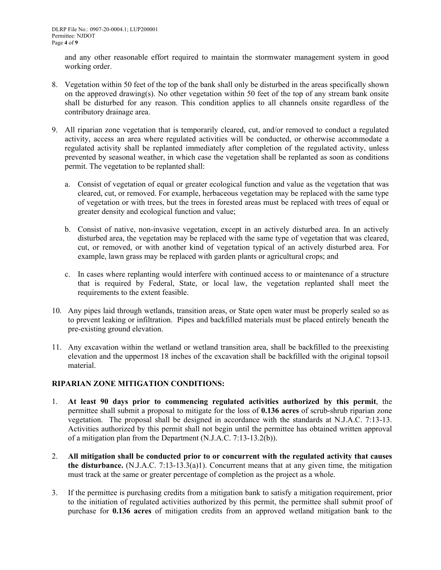and any other reasonable effort required to maintain the stormwater management system in good working order.

- 8. Vegetation within 50 feet of the top of the bank shall only be disturbed in the areas specifically shown on the approved drawing(s). No other vegetation within 50 feet of the top of any stream bank onsite shall be disturbed for any reason. This condition applies to all channels onsite regardless of the contributory drainage area.
- 9. All riparian zone vegetation that is temporarily cleared, cut, and/or removed to conduct a regulated activity, access an area where regulated activities will be conducted, or otherwise accommodate a regulated activity shall be replanted immediately after completion of the regulated activity, unless prevented by seasonal weather, in which case the vegetation shall be replanted as soon as conditions permit. The vegetation to be replanted shall:
	- a. Consist of vegetation of equal or greater ecological function and value as the vegetation that was cleared, cut, or removed. For example, herbaceous vegetation may be replaced with the same type of vegetation or with trees, but the trees in forested areas must be replaced with trees of equal or greater density and ecological function and value;
	- b. Consist of native, non-invasive vegetation, except in an actively disturbed area. In an actively disturbed area, the vegetation may be replaced with the same type of vegetation that was cleared, cut, or removed, or with another kind of vegetation typical of an actively disturbed area. For example, lawn grass may be replaced with garden plants or agricultural crops; and
	- c. In cases where replanting would interfere with continued access to or maintenance of a structure that is required by Federal, State, or local law, the vegetation replanted shall meet the requirements to the extent feasible.
- 10. Any pipes laid through wetlands, transition areas, or State open water must be properly sealed so as to prevent leaking or infiltration. Pipes and backfilled materials must be placed entirely beneath the pre-existing ground elevation.
- 11. Any excavation within the wetland or wetland transition area, shall be backfilled to the preexisting elevation and the uppermost 18 inches of the excavation shall be backfilled with the original topsoil material.

# **RIPARIAN ZONE MITIGATION CONDITIONS:**

- 1. **At least 90 days prior to commencing regulated activities authorized by this permit**, the permittee shall submit a proposal to mitigate for the loss of **0.136 acres** of scrub-shrub riparian zone vegetation. The proposal shall be designed in accordance with the standards at N.J.A.C. 7:13-13. Activities authorized by this permit shall not begin until the permittee has obtained written approval of a mitigation plan from the Department (N.J.A.C. 7:13-13.2(b)).
- 2. **All mitigation shall be conducted prior to or concurrent with the regulated activity that causes the disturbance.** (N.J.A.C. 7:13-13.3(a)1). Concurrent means that at any given time, the mitigation must track at the same or greater percentage of completion as the project as a whole.
- 3. If the permittee is purchasing credits from a mitigation bank to satisfy a mitigation requirement, prior to the initiation of regulated activities authorized by this permit, the permittee shall submit proof of purchase for **0.136 acres** of mitigation credits from an approved wetland mitigation bank to the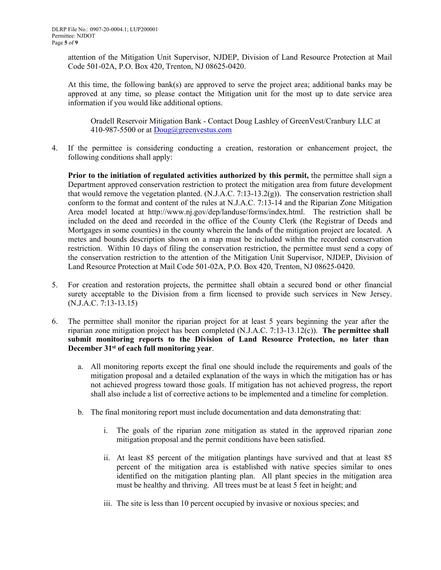attention of the Mitigation Unit Supervisor, NJDEP, Division of Land Resource Protection at Mail Code 501-02A, P.O. Box 420, Trenton, NJ 08625-0420.

At this time, the following bank(s) are approved to serve the project area; additional banks may be approved at any time, so please contact the Mitigation unit for the most up to date service area information if you would like additional options.

Oradell Reservoir Mitigation Bank - Contact Doug Lashley of GreenVest/Cranbury LLC at 410-987-5500 or at [Doug@greenvestus.com](mailto:Doug@greenvestus.com)

4. If the permittee is considering conducting a creation, restoration or enhancement project, the following conditions shall apply:

**Prior to the initiation of regulated activities authorized by this permit,** the permittee shall sign a Department approved conservation restriction to protect the mitigation area from future development that would remove the vegetation planted. (N.J.A.C. 7:13-13.2(g)). The conservation restriction shall conform to the format and content of the rules at N.J.A.C. 7:13-14 and the Riparian Zone Mitigation Area model located at http://www.nj.gov/dep/landuse/forms/index.html. The restriction shall be included on the deed and recorded in the office of the County Clerk (the Registrar of Deeds and Mortgages in some counties) in the county wherein the lands of the mitigation project are located. A metes and bounds description shown on a map must be included within the recorded conservation restriction. Within 10 days of filing the conservation restriction, the permittee must send a copy of the conservation restriction to the attention of the Mitigation Unit Supervisor, NJDEP, Division of Land Resource Protection at Mail Code 501-02A, P.O. Box 420, Trenton, NJ 08625-0420.

- 5. For creation and restoration projects, the permittee shall obtain a secured bond or other financial surety acceptable to the Division from a firm licensed to provide such services in New Jersey. (N.J.A.C. 7:13-13.15)
- 6. The permittee shall monitor the riparian project for at least 5 years beginning the year after the riparian zone mitigation project has been completed (N.J.A.C. 7:13-13.12(c)). **The permittee shall submit monitoring reports to the Division of Land Resource Protection, no later than December 31st of each full monitoring year**.
	- a. All monitoring reports except the final one should include the requirements and goals of the mitigation proposal and a detailed explanation of the ways in which the mitigation has or has not achieved progress toward those goals. If mitigation has not achieved progress, the report shall also include a list of corrective actions to be implemented and a timeline for completion.
	- b. The final monitoring report must include documentation and data demonstrating that:
		- i. The goals of the riparian zone mitigation as stated in the approved riparian zone mitigation proposal and the permit conditions have been satisfied.
		- ii. At least 85 percent of the mitigation plantings have survived and that at least 85 percent of the mitigation area is established with native species similar to ones identified on the mitigation planting plan. All plant species in the mitigation area must be healthy and thriving. All trees must be at least 5 feet in height; and
		- iii. The site is less than 10 percent occupied by invasive or noxious species; and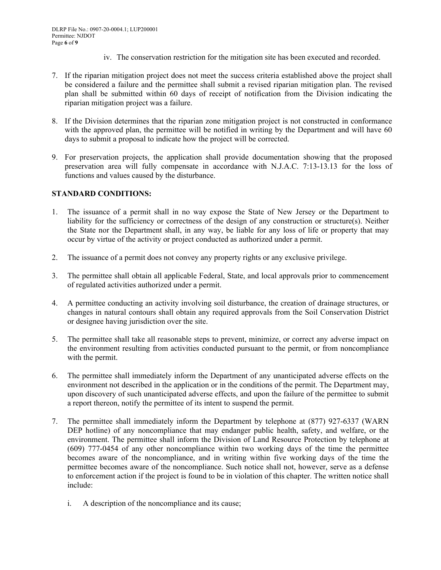- iv. The conservation restriction for the mitigation site has been executed and recorded.
- 7. If the riparian mitigation project does not meet the success criteria established above the project shall be considered a failure and the permittee shall submit a revised riparian mitigation plan. The revised plan shall be submitted within 60 days of receipt of notification from the Division indicating the riparian mitigation project was a failure.
- 8. If the Division determines that the riparian zone mitigation project is not constructed in conformance with the approved plan, the permittee will be notified in writing by the Department and will have 60 days to submit a proposal to indicate how the project will be corrected.
- 9. For preservation projects, the application shall provide documentation showing that the proposed preservation area will fully compensate in accordance with N.J.A.C. 7:13-13.13 for the loss of functions and values caused by the disturbance.

## **STANDARD CONDITIONS:**

- 1. The issuance of a permit shall in no way expose the State of New Jersey or the Department to liability for the sufficiency or correctness of the design of any construction or structure(s). Neither the State nor the Department shall, in any way, be liable for any loss of life or property that may occur by virtue of the activity or project conducted as authorized under a permit.
- 2. The issuance of a permit does not convey any property rights or any exclusive privilege.
- 3. The permittee shall obtain all applicable Federal, State, and local approvals prior to commencement of regulated activities authorized under a permit.
- 4. A permittee conducting an activity involving soil disturbance, the creation of drainage structures, or changes in natural contours shall obtain any required approvals from the Soil Conservation District or designee having jurisdiction over the site.
- 5. The permittee shall take all reasonable steps to prevent, minimize, or correct any adverse impact on the environment resulting from activities conducted pursuant to the permit, or from noncompliance with the permit.
- 6. The permittee shall immediately inform the Department of any unanticipated adverse effects on the environment not described in the application or in the conditions of the permit. The Department may, upon discovery of such unanticipated adverse effects, and upon the failure of the permittee to submit a report thereon, notify the permittee of its intent to suspend the permit.
- 7. The permittee shall immediately inform the Department by telephone at (877) 927-6337 (WARN DEP hotline) of any noncompliance that may endanger public health, safety, and welfare, or the environment. The permittee shall inform the Division of Land Resource Protection by telephone at (609) 777-0454 of any other noncompliance within two working days of the time the permittee becomes aware of the noncompliance, and in writing within five working days of the time the permittee becomes aware of the noncompliance. Such notice shall not, however, serve as a defense to enforcement action if the project is found to be in violation of this chapter. The written notice shall include:
	- i. A description of the noncompliance and its cause;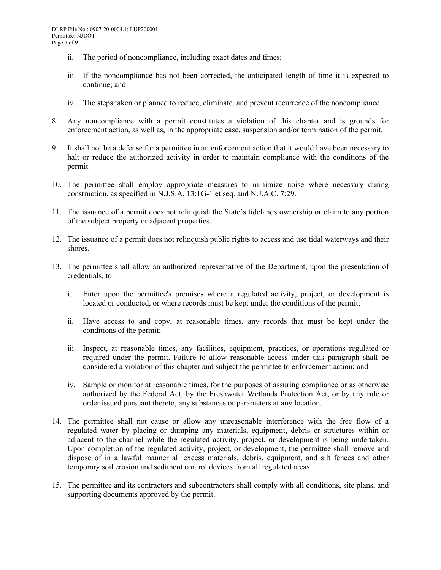- ii. The period of noncompliance, including exact dates and times;
- iii. If the noncompliance has not been corrected, the anticipated length of time it is expected to continue; and
- iv. The steps taken or planned to reduce, eliminate, and prevent recurrence of the noncompliance.
- 8. Any noncompliance with a permit constitutes a violation of this chapter and is grounds for enforcement action, as well as, in the appropriate case, suspension and/or termination of the permit.
- 9. It shall not be a defense for a permittee in an enforcement action that it would have been necessary to halt or reduce the authorized activity in order to maintain compliance with the conditions of the permit.
- 10. The permittee shall employ appropriate measures to minimize noise where necessary during construction, as specified in N.J.S.A. 13:1G-1 et seq. and N.J.A.C. 7:29.
- 11. The issuance of a permit does not relinquish the State's tidelands ownership or claim to any portion of the subject property or adjacent properties.
- 12. The issuance of a permit does not relinquish public rights to access and use tidal waterways and their shores.
- 13. The permittee shall allow an authorized representative of the Department, upon the presentation of credentials, to:
	- i. Enter upon the permittee's premises where a regulated activity, project, or development is located or conducted, or where records must be kept under the conditions of the permit;
	- ii. Have access to and copy, at reasonable times, any records that must be kept under the conditions of the permit;
	- iii. Inspect, at reasonable times, any facilities, equipment, practices, or operations regulated or required under the permit. Failure to allow reasonable access under this paragraph shall be considered a violation of this chapter and subject the permittee to enforcement action; and
	- iv. Sample or monitor at reasonable times, for the purposes of assuring compliance or as otherwise authorized by the Federal Act, by the Freshwater Wetlands Protection Act, or by any rule or order issued pursuant thereto, any substances or parameters at any location.
- 14. The permittee shall not cause or allow any unreasonable interference with the free flow of a regulated water by placing or dumping any materials, equipment, debris or structures within or adjacent to the channel while the regulated activity, project, or development is being undertaken. Upon completion of the regulated activity, project, or development, the permittee shall remove and dispose of in a lawful manner all excess materials, debris, equipment, and silt fences and other temporary soil erosion and sediment control devices from all regulated areas.
- 15. The permittee and its contractors and subcontractors shall comply with all conditions, site plans, and supporting documents approved by the permit.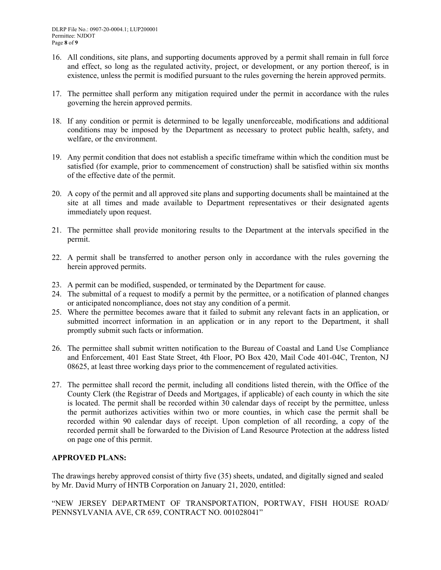- 16. All conditions, site plans, and supporting documents approved by a permit shall remain in full force and effect, so long as the regulated activity, project, or development, or any portion thereof, is in existence, unless the permit is modified pursuant to the rules governing the herein approved permits.
- 17. The permittee shall perform any mitigation required under the permit in accordance with the rules governing the herein approved permits.
- 18. If any condition or permit is determined to be legally unenforceable, modifications and additional conditions may be imposed by the Department as necessary to protect public health, safety, and welfare, or the environment.
- 19. Any permit condition that does not establish a specific timeframe within which the condition must be satisfied (for example, prior to commencement of construction) shall be satisfied within six months of the effective date of the permit.
- 20. A copy of the permit and all approved site plans and supporting documents shall be maintained at the site at all times and made available to Department representatives or their designated agents immediately upon request.
- 21. The permittee shall provide monitoring results to the Department at the intervals specified in the permit.
- 22. A permit shall be transferred to another person only in accordance with the rules governing the herein approved permits.
- 23. A permit can be modified, suspended, or terminated by the Department for cause.
- 24. The submittal of a request to modify a permit by the permittee, or a notification of planned changes or anticipated noncompliance, does not stay any condition of a permit.
- 25. Where the permittee becomes aware that it failed to submit any relevant facts in an application, or submitted incorrect information in an application or in any report to the Department, it shall promptly submit such facts or information.
- 26. The permittee shall submit written notification to the Bureau of Coastal and Land Use Compliance and Enforcement, 401 East State Street, 4th Floor, PO Box 420, Mail Code 401-04C, Trenton, NJ 08625, at least three working days prior to the commencement of regulated activities.
- 27. The permittee shall record the permit, including all conditions listed therein, with the Office of the County Clerk (the Registrar of Deeds and Mortgages, if applicable) of each county in which the site is located. The permit shall be recorded within 30 calendar days of receipt by the permittee, unless the permit authorizes activities within two or more counties, in which case the permit shall be recorded within 90 calendar days of receipt. Upon completion of all recording, a copy of the recorded permit shall be forwarded to the Division of Land Resource Protection at the address listed on page one of this permit.

# **APPROVED PLANS:**

The drawings hereby approved consist of thirty five (35) sheets, undated, and digitally signed and sealed by Mr. David Murry of HNTB Corporation on January 21, 2020, entitled:

"NEW JERSEY DEPARTMENT OF TRANSPORTATION, PORTWAY, FISH HOUSE ROAD/ PENNSYLVANIA AVE, CR 659, CONTRACT NO. 001028041"